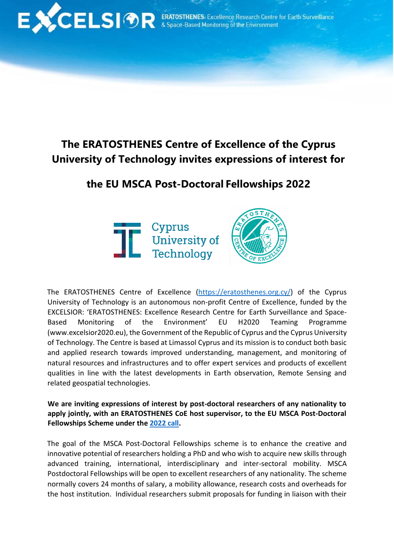

## **The ERATOSTHENES Centre of Excellence of the Cyprus University of Technology invites expressions of interest for**

## **the EU MSCA Post-Doctoral Fellowships 2022**





The ERATOSTHENES Centre of Excellence [\(https://eratosthenes.org.cy/\)](https://eratosthenes.org.cy/) of the Cyprus University of Technology is an autonomous non-profit Centre of Excellence, funded by the EXCELSIOR: 'ERATOSTHENES: Excellence Research Centre for Earth Surveillance and Space-Based Monitoring of the Environment' EU H2020 Teaming Programme (www.excelsior2020.eu), the Government of the Republic of Cyprus and the Cyprus University of Technology. The Centre is based at Limassol Cyprus and its mission is to conduct both basic and applied research towards improved understanding, management, and monitoring of natural resources and infrastructures and to offer expert services and products of excellent qualities in line with the latest developments in Earth observation, Remote Sensing and related geospatial technologies.

**We are inviting expressions of interest by post-doctoral researchers of any nationality to apply jointly, with an ERATOSTHENES CoE host supervisor, to the EU MSCA Post-Doctoral Fellowships Scheme under the [2022](https://ec.europa.eu/info/funding-tenders/opportunities/portal/screen/opportunities/topic-details/horizon-msca-2022-pf-01-01;callCode=HORIZON-MSCA-2022-PF-01;freeTextSearchKeyword=;matchWholeText=true;typeCodes=1;statusCodes=31094501,31094502,31094503;programmePeriod=null;programCcm2Id=43108390;programDivisionCode=null;focusAreaCode=null;destination=null;mission=null;geographicalZonesCode=null;programmeDivisionProspect=null;startDateLte=null;startDateGte=null;crossCuttingPriorityCode=null;cpvCode=null;performanceOfDelivery=null;sortQuery=sortStatus;orderBy=asc;onlyTenders=false;topicListKey=callTopicSearchTableState) call.** 

The goal of the MSCA Post-Doctoral Fellowships scheme is to enhance the creative and innovative potential of researchers holding a PhD and who wish to acquire new skills through advanced training, international, interdisciplinary and inter-sectoral mobility. MSCA Postdoctoral Fellowships will be open to excellent researchers of any nationality. The scheme normally covers 24 months of salary, a mobility allowance, research costs and overheads for the host institution. Individual researchers submit proposals for funding in liaison with their